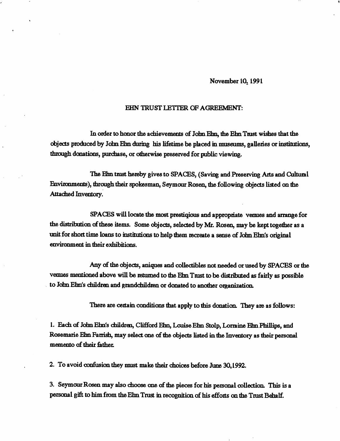## November 10, 1991

## EHN TRUST LETTER OF AGREEMENT:

In order to honor the achievements of John Ehn, the Ehn Trust wishes that the objects produced by John Ehn during his lifetime be placed in museums, galleries or institutions, through donations, purchase, or otherwise preserved for public viewing.

The Ehn trust hereby gives to SPACES, (Saving and Preserving Arts and Cultural Environments), through their spokesman, Seymour Rosen, the following objects listed on the Attached Inventory.

SPACES will locate the most prestiqious and appropriate vermes and arrange for the distribution of these items. Some objects, selected by Mr. Rosen, may be kept together as a unit for short time loans to institutions to help them recreate a sense of John Ehn's original environment in their exhibitions.

Any of the objects, aniques and collectibles not needed or used by SPACES or the venues mentioned above will be retumed to the Ehn Trust to be distributed as fairly as possible to John Ehn's children and grandchildren or donated to another organization.

There are certain conditions that apply to this donation. They are as follows:

1. Eadi of Jdm Ehn's children, Clifford Ehn, Louise Ehn Stolp, Lorraine Ehn Phillips, and Rosemarie Ehn Farrish, may select one of the objects listed in the Inventory as their personal memento of their father.

2. To avoid confusim they must make their choices before June 30,1992.

3. Seymour Rosen may also choose one of the pieces for his personal collection. This is a personal gift to him from the Ehn Trust in recognition of his effonts on the Trust Behalf.